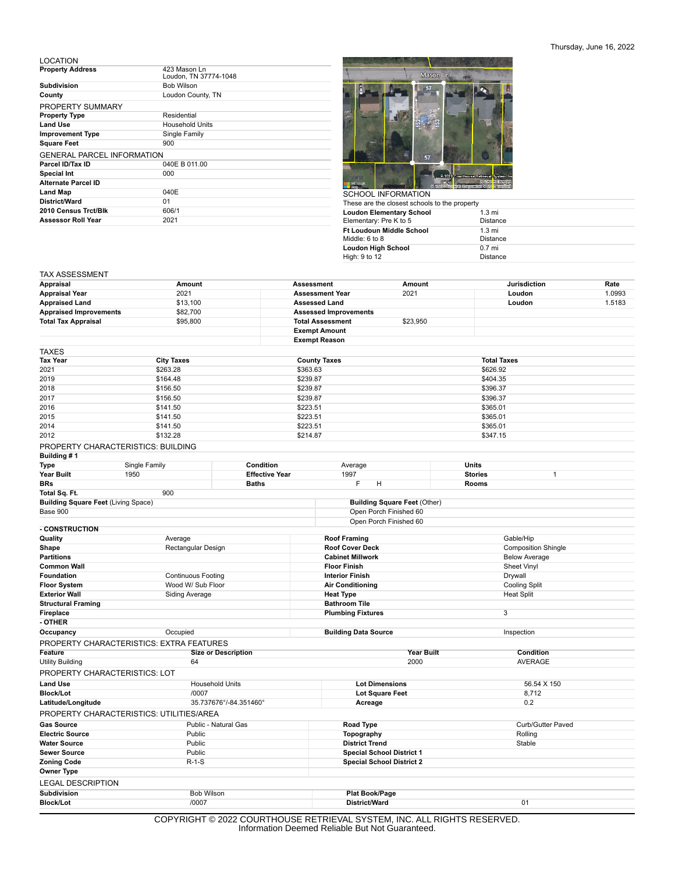## Thursday, June 16, 2022

LOCATION

| <b>Property Address</b>           | 423 Mason Ln<br>Loudon, TN 37774-1048 |
|-----------------------------------|---------------------------------------|
| Subdivision                       | <b>Bob Wilson</b>                     |
| County                            | Loudon County, TN                     |
| PROPERTY SUMMARY                  |                                       |
| <b>Property Type</b>              | Residential                           |
| <b>Land Use</b>                   | Household Units                       |
| <b>Improvement Type</b>           | Single Family                         |
| <b>Square Feet</b>                | 900                                   |
| <b>GENERAL PARCEL INFORMATION</b> |                                       |
| Parcel ID/Tax ID                  | 040E B 011.00                         |
| <b>Special Int</b>                | 000                                   |
| <b>Alternate Parcel ID</b>        |                                       |
| <b>Land Map</b>                   | 040E                                  |
| District/Ward                     | 01                                    |
| 2010 Census Trct/Blk              | 606/1                                 |
| <b>Assessor Roll Year</b>         | 2021                                  |
|                                   |                                       |



| <b>UUITUULINI UNIMATIUN</b>                   |                  |
|-----------------------------------------------|------------------|
| These are the closest schools to the property |                  |
| <b>Loudon Elementary School</b>               | $1.3 \text{ mi}$ |
| Elementary: Pre K to 5                        | <b>Distance</b>  |
| <b>Ft Loudoun Middle School</b>               | $1.3 \text{ mi}$ |
| Middle: 6 to 8                                | <b>Distance</b>  |
| <b>Loudon High School</b>                     | $0.7$ mi         |
| High: 9 to 12                                 | <b>Distance</b>  |
|                                               |                  |

## TAX ASSESSMENT

| 2021<br>2021<br>1.0993<br><b>Assessment Year</b><br>Loudon<br>\$13,100<br>Loudon<br>1.5183<br><b>Assessed Land</b><br><b>Appraised Improvements</b><br>\$82,700<br><b>Assessed Improvements</b><br>\$95,800<br><b>Total Assessment</b><br>\$23,950<br><b>Exempt Amount</b><br><b>Exempt Reason</b><br><b>City Taxes</b><br><b>County Taxes</b><br><b>Total Taxes</b><br>\$263.28<br>\$363.63<br>\$626.92<br>2019<br>\$164.48<br>\$239.87<br>\$404.35<br>2018<br>\$156.50<br>\$239.87<br>\$396.37<br>2017<br>\$156.50<br>\$239.87<br>\$396.37<br>2016<br>\$141.50<br>\$223.51<br>\$365.01<br>2015<br>\$141.50<br>\$223.51<br>\$365.01<br>2014<br>\$141.50<br>\$223.51<br>\$365.01<br>2012<br>\$132.28<br>\$214.87<br>\$347.15<br>PROPERTY CHARACTERISTICS: BUILDING<br>Building #1<br>Single Family<br>Condition<br>Units<br>Type<br>Average<br>Year Built<br>1950<br><b>Effective Year</b><br>1997<br><b>Stories</b><br>1<br><b>Baths</b><br>F<br><b>BRs</b><br>н<br><b>Rooms</b><br>900<br>Total Sq. Ft.<br><b>Building Square Feet (Living Space)</b><br><b>Building Square Feet (Other)</b><br>Open Porch Finished 60<br>Open Porch Finished 60<br>- CONSTRUCTION<br>Quality<br><b>Roof Framing</b><br>Gable/Hip<br>Average<br>Shape<br>Rectangular Design<br><b>Roof Cover Deck</b><br><b>Composition Shingle</b><br><b>Partitions</b><br><b>Cabinet Millwork</b><br><b>Below Average</b><br><b>Common Wall</b><br><b>Floor Finish</b><br><b>Sheet Vinyl</b><br>Foundation<br><b>Continuous Footing</b><br><b>Interior Finish</b><br>Drywall<br>Wood W/ Sub Floor<br><b>Floor System</b><br><b>Air Conditioning</b><br><b>Cooling Split</b><br><b>Exterior Wall</b><br><b>Heat Split</b><br><b>Siding Average</b><br><b>Heat Type</b><br><b>Bathroom Tile</b><br><b>Structural Framing</b><br><b>Plumbing Fixtures</b><br>$\mathbf{3}$<br>Fireplace<br>- OTHER<br>Occupied<br>Inspection<br><b>Building Data Source</b><br>Occupancy<br>PROPERTY CHARACTERISTICS: EXTRA FEATURES<br><b>Year Built</b><br>Condition<br>Feature<br><b>Size or Description</b><br>2000<br><b>AVERAGE</b><br><b>Utility Building</b><br>64<br>PROPERTY CHARACTERISTICS: LOT<br><b>Lot Dimensions</b><br><b>Land Use</b><br><b>Household Units</b><br>56.54 X 150<br>/0007<br><b>Block/Lot</b><br><b>Lot Square Feet</b><br>8,712<br>35.737676°/-84.351460°<br>0.2<br>Latitude/Longitude<br>Acreage<br>PROPERTY CHARACTERISTICS: UTILITIES/AREA<br>Public - Natural Gas<br>Curb/Gutter Paved<br><b>Gas Source</b><br>Road Type<br><b>Electric Source</b><br>Public<br>Topography<br>Rolling<br><b>Water Source</b><br>Public<br><b>District Trend</b><br>Stable<br><b>Sewer Source</b><br>Public<br><b>Special School District 1</b><br><b>Zoning Code</b><br>$R-1-S$<br><b>Special School District 2</b><br><b>LEGAL DESCRIPTION</b><br><b>Subdivision</b><br><b>Bob Wilson</b><br>Plat Book/Page<br>/0007<br><b>Block/Lot</b><br>District/Ward<br>01<br>$COMMOMI T$ $@ 2000$ $COMI DTI$ $QUI T$ $DIT DIT DIT DIT U MI$<br>CVCTEM INC. ALL DIOUTC DECEDVED | Appraisal                  | Amount |  | <b>Assessment</b> | Amount |  | <b>Jurisdiction</b> | Rate |
|--------------------------------------------------------------------------------------------------------------------------------------------------------------------------------------------------------------------------------------------------------------------------------------------------------------------------------------------------------------------------------------------------------------------------------------------------------------------------------------------------------------------------------------------------------------------------------------------------------------------------------------------------------------------------------------------------------------------------------------------------------------------------------------------------------------------------------------------------------------------------------------------------------------------------------------------------------------------------------------------------------------------------------------------------------------------------------------------------------------------------------------------------------------------------------------------------------------------------------------------------------------------------------------------------------------------------------------------------------------------------------------------------------------------------------------------------------------------------------------------------------------------------------------------------------------------------------------------------------------------------------------------------------------------------------------------------------------------------------------------------------------------------------------------------------------------------------------------------------------------------------------------------------------------------------------------------------------------------------------------------------------------------------------------------------------------------------------------------------------------------------------------------------------------------------------------------------------------------------------------------------------------------------------------------------------------------------------------------------------------------------------------------------------------------------------------------------------------------------------------------------------------------------------------------------------------------------------------------------------------------------------------------------------------------------------------------------------------------------------------------------------------------------------------------------------------------------------------------------------------------------------------------------------------------------------------------------------------------------------------------------------------------------------------|----------------------------|--------|--|-------------------|--------|--|---------------------|------|
|                                                                                                                                                                                                                                                                                                                                                                                                                                                                                                                                                                                                                                                                                                                                                                                                                                                                                                                                                                                                                                                                                                                                                                                                                                                                                                                                                                                                                                                                                                                                                                                                                                                                                                                                                                                                                                                                                                                                                                                                                                                                                                                                                                                                                                                                                                                                                                                                                                                                                                                                                                                                                                                                                                                                                                                                                                                                                                                                                                                                                                            | <b>Appraisal Year</b>      |        |  |                   |        |  |                     |      |
|                                                                                                                                                                                                                                                                                                                                                                                                                                                                                                                                                                                                                                                                                                                                                                                                                                                                                                                                                                                                                                                                                                                                                                                                                                                                                                                                                                                                                                                                                                                                                                                                                                                                                                                                                                                                                                                                                                                                                                                                                                                                                                                                                                                                                                                                                                                                                                                                                                                                                                                                                                                                                                                                                                                                                                                                                                                                                                                                                                                                                                            | <b>Appraised Land</b>      |        |  |                   |        |  |                     |      |
|                                                                                                                                                                                                                                                                                                                                                                                                                                                                                                                                                                                                                                                                                                                                                                                                                                                                                                                                                                                                                                                                                                                                                                                                                                                                                                                                                                                                                                                                                                                                                                                                                                                                                                                                                                                                                                                                                                                                                                                                                                                                                                                                                                                                                                                                                                                                                                                                                                                                                                                                                                                                                                                                                                                                                                                                                                                                                                                                                                                                                                            |                            |        |  |                   |        |  |                     |      |
|                                                                                                                                                                                                                                                                                                                                                                                                                                                                                                                                                                                                                                                                                                                                                                                                                                                                                                                                                                                                                                                                                                                                                                                                                                                                                                                                                                                                                                                                                                                                                                                                                                                                                                                                                                                                                                                                                                                                                                                                                                                                                                                                                                                                                                                                                                                                                                                                                                                                                                                                                                                                                                                                                                                                                                                                                                                                                                                                                                                                                                            | <b>Total Tax Appraisal</b> |        |  |                   |        |  |                     |      |
|                                                                                                                                                                                                                                                                                                                                                                                                                                                                                                                                                                                                                                                                                                                                                                                                                                                                                                                                                                                                                                                                                                                                                                                                                                                                                                                                                                                                                                                                                                                                                                                                                                                                                                                                                                                                                                                                                                                                                                                                                                                                                                                                                                                                                                                                                                                                                                                                                                                                                                                                                                                                                                                                                                                                                                                                                                                                                                                                                                                                                                            |                            |        |  |                   |        |  |                     |      |
|                                                                                                                                                                                                                                                                                                                                                                                                                                                                                                                                                                                                                                                                                                                                                                                                                                                                                                                                                                                                                                                                                                                                                                                                                                                                                                                                                                                                                                                                                                                                                                                                                                                                                                                                                                                                                                                                                                                                                                                                                                                                                                                                                                                                                                                                                                                                                                                                                                                                                                                                                                                                                                                                                                                                                                                                                                                                                                                                                                                                                                            |                            |        |  |                   |        |  |                     |      |
|                                                                                                                                                                                                                                                                                                                                                                                                                                                                                                                                                                                                                                                                                                                                                                                                                                                                                                                                                                                                                                                                                                                                                                                                                                                                                                                                                                                                                                                                                                                                                                                                                                                                                                                                                                                                                                                                                                                                                                                                                                                                                                                                                                                                                                                                                                                                                                                                                                                                                                                                                                                                                                                                                                                                                                                                                                                                                                                                                                                                                                            | <b>TAXES</b>               |        |  |                   |        |  |                     |      |
|                                                                                                                                                                                                                                                                                                                                                                                                                                                                                                                                                                                                                                                                                                                                                                                                                                                                                                                                                                                                                                                                                                                                                                                                                                                                                                                                                                                                                                                                                                                                                                                                                                                                                                                                                                                                                                                                                                                                                                                                                                                                                                                                                                                                                                                                                                                                                                                                                                                                                                                                                                                                                                                                                                                                                                                                                                                                                                                                                                                                                                            | Tax Year                   |        |  |                   |        |  |                     |      |
|                                                                                                                                                                                                                                                                                                                                                                                                                                                                                                                                                                                                                                                                                                                                                                                                                                                                                                                                                                                                                                                                                                                                                                                                                                                                                                                                                                                                                                                                                                                                                                                                                                                                                                                                                                                                                                                                                                                                                                                                                                                                                                                                                                                                                                                                                                                                                                                                                                                                                                                                                                                                                                                                                                                                                                                                                                                                                                                                                                                                                                            | 2021                       |        |  |                   |        |  |                     |      |
|                                                                                                                                                                                                                                                                                                                                                                                                                                                                                                                                                                                                                                                                                                                                                                                                                                                                                                                                                                                                                                                                                                                                                                                                                                                                                                                                                                                                                                                                                                                                                                                                                                                                                                                                                                                                                                                                                                                                                                                                                                                                                                                                                                                                                                                                                                                                                                                                                                                                                                                                                                                                                                                                                                                                                                                                                                                                                                                                                                                                                                            |                            |        |  |                   |        |  |                     |      |
|                                                                                                                                                                                                                                                                                                                                                                                                                                                                                                                                                                                                                                                                                                                                                                                                                                                                                                                                                                                                                                                                                                                                                                                                                                                                                                                                                                                                                                                                                                                                                                                                                                                                                                                                                                                                                                                                                                                                                                                                                                                                                                                                                                                                                                                                                                                                                                                                                                                                                                                                                                                                                                                                                                                                                                                                                                                                                                                                                                                                                                            |                            |        |  |                   |        |  |                     |      |
|                                                                                                                                                                                                                                                                                                                                                                                                                                                                                                                                                                                                                                                                                                                                                                                                                                                                                                                                                                                                                                                                                                                                                                                                                                                                                                                                                                                                                                                                                                                                                                                                                                                                                                                                                                                                                                                                                                                                                                                                                                                                                                                                                                                                                                                                                                                                                                                                                                                                                                                                                                                                                                                                                                                                                                                                                                                                                                                                                                                                                                            |                            |        |  |                   |        |  |                     |      |
|                                                                                                                                                                                                                                                                                                                                                                                                                                                                                                                                                                                                                                                                                                                                                                                                                                                                                                                                                                                                                                                                                                                                                                                                                                                                                                                                                                                                                                                                                                                                                                                                                                                                                                                                                                                                                                                                                                                                                                                                                                                                                                                                                                                                                                                                                                                                                                                                                                                                                                                                                                                                                                                                                                                                                                                                                                                                                                                                                                                                                                            |                            |        |  |                   |        |  |                     |      |
|                                                                                                                                                                                                                                                                                                                                                                                                                                                                                                                                                                                                                                                                                                                                                                                                                                                                                                                                                                                                                                                                                                                                                                                                                                                                                                                                                                                                                                                                                                                                                                                                                                                                                                                                                                                                                                                                                                                                                                                                                                                                                                                                                                                                                                                                                                                                                                                                                                                                                                                                                                                                                                                                                                                                                                                                                                                                                                                                                                                                                                            |                            |        |  |                   |        |  |                     |      |
|                                                                                                                                                                                                                                                                                                                                                                                                                                                                                                                                                                                                                                                                                                                                                                                                                                                                                                                                                                                                                                                                                                                                                                                                                                                                                                                                                                                                                                                                                                                                                                                                                                                                                                                                                                                                                                                                                                                                                                                                                                                                                                                                                                                                                                                                                                                                                                                                                                                                                                                                                                                                                                                                                                                                                                                                                                                                                                                                                                                                                                            |                            |        |  |                   |        |  |                     |      |
|                                                                                                                                                                                                                                                                                                                                                                                                                                                                                                                                                                                                                                                                                                                                                                                                                                                                                                                                                                                                                                                                                                                                                                                                                                                                                                                                                                                                                                                                                                                                                                                                                                                                                                                                                                                                                                                                                                                                                                                                                                                                                                                                                                                                                                                                                                                                                                                                                                                                                                                                                                                                                                                                                                                                                                                                                                                                                                                                                                                                                                            |                            |        |  |                   |        |  |                     |      |
|                                                                                                                                                                                                                                                                                                                                                                                                                                                                                                                                                                                                                                                                                                                                                                                                                                                                                                                                                                                                                                                                                                                                                                                                                                                                                                                                                                                                                                                                                                                                                                                                                                                                                                                                                                                                                                                                                                                                                                                                                                                                                                                                                                                                                                                                                                                                                                                                                                                                                                                                                                                                                                                                                                                                                                                                                                                                                                                                                                                                                                            |                            |        |  |                   |        |  |                     |      |
|                                                                                                                                                                                                                                                                                                                                                                                                                                                                                                                                                                                                                                                                                                                                                                                                                                                                                                                                                                                                                                                                                                                                                                                                                                                                                                                                                                                                                                                                                                                                                                                                                                                                                                                                                                                                                                                                                                                                                                                                                                                                                                                                                                                                                                                                                                                                                                                                                                                                                                                                                                                                                                                                                                                                                                                                                                                                                                                                                                                                                                            |                            |        |  |                   |        |  |                     |      |
|                                                                                                                                                                                                                                                                                                                                                                                                                                                                                                                                                                                                                                                                                                                                                                                                                                                                                                                                                                                                                                                                                                                                                                                                                                                                                                                                                                                                                                                                                                                                                                                                                                                                                                                                                                                                                                                                                                                                                                                                                                                                                                                                                                                                                                                                                                                                                                                                                                                                                                                                                                                                                                                                                                                                                                                                                                                                                                                                                                                                                                            |                            |        |  |                   |        |  |                     |      |
|                                                                                                                                                                                                                                                                                                                                                                                                                                                                                                                                                                                                                                                                                                                                                                                                                                                                                                                                                                                                                                                                                                                                                                                                                                                                                                                                                                                                                                                                                                                                                                                                                                                                                                                                                                                                                                                                                                                                                                                                                                                                                                                                                                                                                                                                                                                                                                                                                                                                                                                                                                                                                                                                                                                                                                                                                                                                                                                                                                                                                                            |                            |        |  |                   |        |  |                     |      |
|                                                                                                                                                                                                                                                                                                                                                                                                                                                                                                                                                                                                                                                                                                                                                                                                                                                                                                                                                                                                                                                                                                                                                                                                                                                                                                                                                                                                                                                                                                                                                                                                                                                                                                                                                                                                                                                                                                                                                                                                                                                                                                                                                                                                                                                                                                                                                                                                                                                                                                                                                                                                                                                                                                                                                                                                                                                                                                                                                                                                                                            |                            |        |  |                   |        |  |                     |      |
|                                                                                                                                                                                                                                                                                                                                                                                                                                                                                                                                                                                                                                                                                                                                                                                                                                                                                                                                                                                                                                                                                                                                                                                                                                                                                                                                                                                                                                                                                                                                                                                                                                                                                                                                                                                                                                                                                                                                                                                                                                                                                                                                                                                                                                                                                                                                                                                                                                                                                                                                                                                                                                                                                                                                                                                                                                                                                                                                                                                                                                            |                            |        |  |                   |        |  |                     |      |
|                                                                                                                                                                                                                                                                                                                                                                                                                                                                                                                                                                                                                                                                                                                                                                                                                                                                                                                                                                                                                                                                                                                                                                                                                                                                                                                                                                                                                                                                                                                                                                                                                                                                                                                                                                                                                                                                                                                                                                                                                                                                                                                                                                                                                                                                                                                                                                                                                                                                                                                                                                                                                                                                                                                                                                                                                                                                                                                                                                                                                                            | Base 900                   |        |  |                   |        |  |                     |      |
|                                                                                                                                                                                                                                                                                                                                                                                                                                                                                                                                                                                                                                                                                                                                                                                                                                                                                                                                                                                                                                                                                                                                                                                                                                                                                                                                                                                                                                                                                                                                                                                                                                                                                                                                                                                                                                                                                                                                                                                                                                                                                                                                                                                                                                                                                                                                                                                                                                                                                                                                                                                                                                                                                                                                                                                                                                                                                                                                                                                                                                            |                            |        |  |                   |        |  |                     |      |
|                                                                                                                                                                                                                                                                                                                                                                                                                                                                                                                                                                                                                                                                                                                                                                                                                                                                                                                                                                                                                                                                                                                                                                                                                                                                                                                                                                                                                                                                                                                                                                                                                                                                                                                                                                                                                                                                                                                                                                                                                                                                                                                                                                                                                                                                                                                                                                                                                                                                                                                                                                                                                                                                                                                                                                                                                                                                                                                                                                                                                                            |                            |        |  |                   |        |  |                     |      |
|                                                                                                                                                                                                                                                                                                                                                                                                                                                                                                                                                                                                                                                                                                                                                                                                                                                                                                                                                                                                                                                                                                                                                                                                                                                                                                                                                                                                                                                                                                                                                                                                                                                                                                                                                                                                                                                                                                                                                                                                                                                                                                                                                                                                                                                                                                                                                                                                                                                                                                                                                                                                                                                                                                                                                                                                                                                                                                                                                                                                                                            |                            |        |  |                   |        |  |                     |      |
|                                                                                                                                                                                                                                                                                                                                                                                                                                                                                                                                                                                                                                                                                                                                                                                                                                                                                                                                                                                                                                                                                                                                                                                                                                                                                                                                                                                                                                                                                                                                                                                                                                                                                                                                                                                                                                                                                                                                                                                                                                                                                                                                                                                                                                                                                                                                                                                                                                                                                                                                                                                                                                                                                                                                                                                                                                                                                                                                                                                                                                            |                            |        |  |                   |        |  |                     |      |
|                                                                                                                                                                                                                                                                                                                                                                                                                                                                                                                                                                                                                                                                                                                                                                                                                                                                                                                                                                                                                                                                                                                                                                                                                                                                                                                                                                                                                                                                                                                                                                                                                                                                                                                                                                                                                                                                                                                                                                                                                                                                                                                                                                                                                                                                                                                                                                                                                                                                                                                                                                                                                                                                                                                                                                                                                                                                                                                                                                                                                                            |                            |        |  |                   |        |  |                     |      |
|                                                                                                                                                                                                                                                                                                                                                                                                                                                                                                                                                                                                                                                                                                                                                                                                                                                                                                                                                                                                                                                                                                                                                                                                                                                                                                                                                                                                                                                                                                                                                                                                                                                                                                                                                                                                                                                                                                                                                                                                                                                                                                                                                                                                                                                                                                                                                                                                                                                                                                                                                                                                                                                                                                                                                                                                                                                                                                                                                                                                                                            |                            |        |  |                   |        |  |                     |      |
|                                                                                                                                                                                                                                                                                                                                                                                                                                                                                                                                                                                                                                                                                                                                                                                                                                                                                                                                                                                                                                                                                                                                                                                                                                                                                                                                                                                                                                                                                                                                                                                                                                                                                                                                                                                                                                                                                                                                                                                                                                                                                                                                                                                                                                                                                                                                                                                                                                                                                                                                                                                                                                                                                                                                                                                                                                                                                                                                                                                                                                            |                            |        |  |                   |        |  |                     |      |
|                                                                                                                                                                                                                                                                                                                                                                                                                                                                                                                                                                                                                                                                                                                                                                                                                                                                                                                                                                                                                                                                                                                                                                                                                                                                                                                                                                                                                                                                                                                                                                                                                                                                                                                                                                                                                                                                                                                                                                                                                                                                                                                                                                                                                                                                                                                                                                                                                                                                                                                                                                                                                                                                                                                                                                                                                                                                                                                                                                                                                                            |                            |        |  |                   |        |  |                     |      |
|                                                                                                                                                                                                                                                                                                                                                                                                                                                                                                                                                                                                                                                                                                                                                                                                                                                                                                                                                                                                                                                                                                                                                                                                                                                                                                                                                                                                                                                                                                                                                                                                                                                                                                                                                                                                                                                                                                                                                                                                                                                                                                                                                                                                                                                                                                                                                                                                                                                                                                                                                                                                                                                                                                                                                                                                                                                                                                                                                                                                                                            |                            |        |  |                   |        |  |                     |      |
|                                                                                                                                                                                                                                                                                                                                                                                                                                                                                                                                                                                                                                                                                                                                                                                                                                                                                                                                                                                                                                                                                                                                                                                                                                                                                                                                                                                                                                                                                                                                                                                                                                                                                                                                                                                                                                                                                                                                                                                                                                                                                                                                                                                                                                                                                                                                                                                                                                                                                                                                                                                                                                                                                                                                                                                                                                                                                                                                                                                                                                            |                            |        |  |                   |        |  |                     |      |
|                                                                                                                                                                                                                                                                                                                                                                                                                                                                                                                                                                                                                                                                                                                                                                                                                                                                                                                                                                                                                                                                                                                                                                                                                                                                                                                                                                                                                                                                                                                                                                                                                                                                                                                                                                                                                                                                                                                                                                                                                                                                                                                                                                                                                                                                                                                                                                                                                                                                                                                                                                                                                                                                                                                                                                                                                                                                                                                                                                                                                                            |                            |        |  |                   |        |  |                     |      |
|                                                                                                                                                                                                                                                                                                                                                                                                                                                                                                                                                                                                                                                                                                                                                                                                                                                                                                                                                                                                                                                                                                                                                                                                                                                                                                                                                                                                                                                                                                                                                                                                                                                                                                                                                                                                                                                                                                                                                                                                                                                                                                                                                                                                                                                                                                                                                                                                                                                                                                                                                                                                                                                                                                                                                                                                                                                                                                                                                                                                                                            |                            |        |  |                   |        |  |                     |      |
|                                                                                                                                                                                                                                                                                                                                                                                                                                                                                                                                                                                                                                                                                                                                                                                                                                                                                                                                                                                                                                                                                                                                                                                                                                                                                                                                                                                                                                                                                                                                                                                                                                                                                                                                                                                                                                                                                                                                                                                                                                                                                                                                                                                                                                                                                                                                                                                                                                                                                                                                                                                                                                                                                                                                                                                                                                                                                                                                                                                                                                            |                            |        |  |                   |        |  |                     |      |
|                                                                                                                                                                                                                                                                                                                                                                                                                                                                                                                                                                                                                                                                                                                                                                                                                                                                                                                                                                                                                                                                                                                                                                                                                                                                                                                                                                                                                                                                                                                                                                                                                                                                                                                                                                                                                                                                                                                                                                                                                                                                                                                                                                                                                                                                                                                                                                                                                                                                                                                                                                                                                                                                                                                                                                                                                                                                                                                                                                                                                                            |                            |        |  |                   |        |  |                     |      |
|                                                                                                                                                                                                                                                                                                                                                                                                                                                                                                                                                                                                                                                                                                                                                                                                                                                                                                                                                                                                                                                                                                                                                                                                                                                                                                                                                                                                                                                                                                                                                                                                                                                                                                                                                                                                                                                                                                                                                                                                                                                                                                                                                                                                                                                                                                                                                                                                                                                                                                                                                                                                                                                                                                                                                                                                                                                                                                                                                                                                                                            |                            |        |  |                   |        |  |                     |      |
|                                                                                                                                                                                                                                                                                                                                                                                                                                                                                                                                                                                                                                                                                                                                                                                                                                                                                                                                                                                                                                                                                                                                                                                                                                                                                                                                                                                                                                                                                                                                                                                                                                                                                                                                                                                                                                                                                                                                                                                                                                                                                                                                                                                                                                                                                                                                                                                                                                                                                                                                                                                                                                                                                                                                                                                                                                                                                                                                                                                                                                            |                            |        |  |                   |        |  |                     |      |
|                                                                                                                                                                                                                                                                                                                                                                                                                                                                                                                                                                                                                                                                                                                                                                                                                                                                                                                                                                                                                                                                                                                                                                                                                                                                                                                                                                                                                                                                                                                                                                                                                                                                                                                                                                                                                                                                                                                                                                                                                                                                                                                                                                                                                                                                                                                                                                                                                                                                                                                                                                                                                                                                                                                                                                                                                                                                                                                                                                                                                                            |                            |        |  |                   |        |  |                     |      |
|                                                                                                                                                                                                                                                                                                                                                                                                                                                                                                                                                                                                                                                                                                                                                                                                                                                                                                                                                                                                                                                                                                                                                                                                                                                                                                                                                                                                                                                                                                                                                                                                                                                                                                                                                                                                                                                                                                                                                                                                                                                                                                                                                                                                                                                                                                                                                                                                                                                                                                                                                                                                                                                                                                                                                                                                                                                                                                                                                                                                                                            |                            |        |  |                   |        |  |                     |      |
|                                                                                                                                                                                                                                                                                                                                                                                                                                                                                                                                                                                                                                                                                                                                                                                                                                                                                                                                                                                                                                                                                                                                                                                                                                                                                                                                                                                                                                                                                                                                                                                                                                                                                                                                                                                                                                                                                                                                                                                                                                                                                                                                                                                                                                                                                                                                                                                                                                                                                                                                                                                                                                                                                                                                                                                                                                                                                                                                                                                                                                            |                            |        |  |                   |        |  |                     |      |
|                                                                                                                                                                                                                                                                                                                                                                                                                                                                                                                                                                                                                                                                                                                                                                                                                                                                                                                                                                                                                                                                                                                                                                                                                                                                                                                                                                                                                                                                                                                                                                                                                                                                                                                                                                                                                                                                                                                                                                                                                                                                                                                                                                                                                                                                                                                                                                                                                                                                                                                                                                                                                                                                                                                                                                                                                                                                                                                                                                                                                                            |                            |        |  |                   |        |  |                     |      |
|                                                                                                                                                                                                                                                                                                                                                                                                                                                                                                                                                                                                                                                                                                                                                                                                                                                                                                                                                                                                                                                                                                                                                                                                                                                                                                                                                                                                                                                                                                                                                                                                                                                                                                                                                                                                                                                                                                                                                                                                                                                                                                                                                                                                                                                                                                                                                                                                                                                                                                                                                                                                                                                                                                                                                                                                                                                                                                                                                                                                                                            |                            |        |  |                   |        |  |                     |      |
|                                                                                                                                                                                                                                                                                                                                                                                                                                                                                                                                                                                                                                                                                                                                                                                                                                                                                                                                                                                                                                                                                                                                                                                                                                                                                                                                                                                                                                                                                                                                                                                                                                                                                                                                                                                                                                                                                                                                                                                                                                                                                                                                                                                                                                                                                                                                                                                                                                                                                                                                                                                                                                                                                                                                                                                                                                                                                                                                                                                                                                            |                            |        |  |                   |        |  |                     |      |
|                                                                                                                                                                                                                                                                                                                                                                                                                                                                                                                                                                                                                                                                                                                                                                                                                                                                                                                                                                                                                                                                                                                                                                                                                                                                                                                                                                                                                                                                                                                                                                                                                                                                                                                                                                                                                                                                                                                                                                                                                                                                                                                                                                                                                                                                                                                                                                                                                                                                                                                                                                                                                                                                                                                                                                                                                                                                                                                                                                                                                                            |                            |        |  |                   |        |  |                     |      |
|                                                                                                                                                                                                                                                                                                                                                                                                                                                                                                                                                                                                                                                                                                                                                                                                                                                                                                                                                                                                                                                                                                                                                                                                                                                                                                                                                                                                                                                                                                                                                                                                                                                                                                                                                                                                                                                                                                                                                                                                                                                                                                                                                                                                                                                                                                                                                                                                                                                                                                                                                                                                                                                                                                                                                                                                                                                                                                                                                                                                                                            |                            |        |  |                   |        |  |                     |      |
|                                                                                                                                                                                                                                                                                                                                                                                                                                                                                                                                                                                                                                                                                                                                                                                                                                                                                                                                                                                                                                                                                                                                                                                                                                                                                                                                                                                                                                                                                                                                                                                                                                                                                                                                                                                                                                                                                                                                                                                                                                                                                                                                                                                                                                                                                                                                                                                                                                                                                                                                                                                                                                                                                                                                                                                                                                                                                                                                                                                                                                            |                            |        |  |                   |        |  |                     |      |
|                                                                                                                                                                                                                                                                                                                                                                                                                                                                                                                                                                                                                                                                                                                                                                                                                                                                                                                                                                                                                                                                                                                                                                                                                                                                                                                                                                                                                                                                                                                                                                                                                                                                                                                                                                                                                                                                                                                                                                                                                                                                                                                                                                                                                                                                                                                                                                                                                                                                                                                                                                                                                                                                                                                                                                                                                                                                                                                                                                                                                                            | Owner Type                 |        |  |                   |        |  |                     |      |
|                                                                                                                                                                                                                                                                                                                                                                                                                                                                                                                                                                                                                                                                                                                                                                                                                                                                                                                                                                                                                                                                                                                                                                                                                                                                                                                                                                                                                                                                                                                                                                                                                                                                                                                                                                                                                                                                                                                                                                                                                                                                                                                                                                                                                                                                                                                                                                                                                                                                                                                                                                                                                                                                                                                                                                                                                                                                                                                                                                                                                                            |                            |        |  |                   |        |  |                     |      |
|                                                                                                                                                                                                                                                                                                                                                                                                                                                                                                                                                                                                                                                                                                                                                                                                                                                                                                                                                                                                                                                                                                                                                                                                                                                                                                                                                                                                                                                                                                                                                                                                                                                                                                                                                                                                                                                                                                                                                                                                                                                                                                                                                                                                                                                                                                                                                                                                                                                                                                                                                                                                                                                                                                                                                                                                                                                                                                                                                                                                                                            |                            |        |  |                   |        |  |                     |      |
|                                                                                                                                                                                                                                                                                                                                                                                                                                                                                                                                                                                                                                                                                                                                                                                                                                                                                                                                                                                                                                                                                                                                                                                                                                                                                                                                                                                                                                                                                                                                                                                                                                                                                                                                                                                                                                                                                                                                                                                                                                                                                                                                                                                                                                                                                                                                                                                                                                                                                                                                                                                                                                                                                                                                                                                                                                                                                                                                                                                                                                            |                            |        |  |                   |        |  |                     |      |
|                                                                                                                                                                                                                                                                                                                                                                                                                                                                                                                                                                                                                                                                                                                                                                                                                                                                                                                                                                                                                                                                                                                                                                                                                                                                                                                                                                                                                                                                                                                                                                                                                                                                                                                                                                                                                                                                                                                                                                                                                                                                                                                                                                                                                                                                                                                                                                                                                                                                                                                                                                                                                                                                                                                                                                                                                                                                                                                                                                                                                                            |                            |        |  |                   |        |  |                     |      |

COPYRIGHT © 2022 COURTHOUSE RETRIEVAL SYSTEM, INC. ALL RIGHTS RESERVED. Information Deemed Reliable But Not Guaranteed.